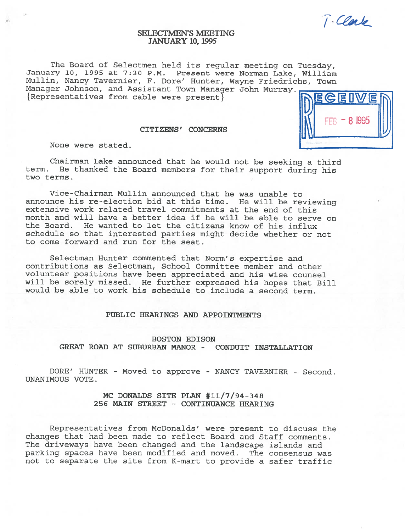$T$ . Clark

 $-81995$ 

# SELECTMEN'S MEETING JANUARY 10, 1995

The Board of Selectmen held its regular meeting on Tuesday, January 10, 1995 at 7:30 P.M. Present were Norman Lake, William Mullin, Nancy Tavernier, F. Dore' Hunter, Wayne Friedrichs, Town Manager Johnson, and Assistant Town Manager John Murray.  ${Representatives from cable were present}$ 

# CITIZENS' CONCERNS ] I\

None were stated.

Chairman Lake announced that he would not be seeking <sup>a</sup> third term. He thanked the Board members for their support during his two terms.

Vice-Chairman Mullin announced that he was unable to announce his re-election bid at this time. He will be reviewing extensive work related travel commitments at the end of this month and will have <sup>a</sup> better idea if he will be able to serve on the Board. He wanted to let the citizens know of his influx schedule so that interested parties might decide whether or not to come forward and run for the seat.

Selectman Hunter commented that Norm's expertise and contributions as Selectman, School Committee member and other volunteer positions have been appreciated and his wise counsel will be sorely missed. He further expressed his hopes that Bill would be able to work his schedule to include <sup>a</sup> second term.

#### PUBLIC HEARINGS AND APPOINTMEWTS

BOSTON EDISON GREAT ROAD AT SUBURBAN MANOR - CONDUIT INSTALLATION

DORE' HUNTER - Moved to approve - NANCY TAVERNIER - Second. UNANIMOUS VOTE.

> MC DONALDS SITE PLAN #11/7/94-348 256 MAIN STREET - CONTINUANCE HEARING

Representatives from McDonalds' were present to discuss the changes that had been made to reflect Board and Staff comments. The driveways have been changed and the landscape islands and parking spaces have been modified and moved. The consensus was not to separate the site from K-mart to provide <sup>a</sup> safer traffic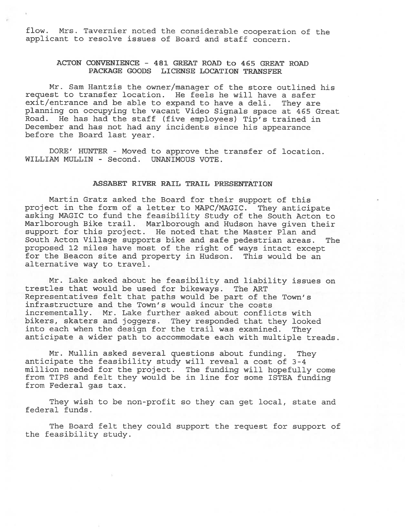flow. Mrs. Tavernier noted the considerable cooperation of the applicant to resolve issues of Board and staff concern.

# ACTON CONVENIENCE - 481 GREAT ROAD to 465 GREAT ROAD PACKAGE GOODS LICENSE LOCATION TRANSFER

Mr. Sam Hantzis the owner/manager of the store outlined his reques<sup>t</sup> to transfer location. He feels he will have <sup>a</sup> safer exit/entrance and be able to expan<sup>d</sup> to have <sup>a</sup> deli. They are <sup>p</sup>lanning on occupying the vacant Video Signals space at <sup>465</sup> Great Road. He has had the staff (five employees) Tip's trained in December and has not had any incidents since his appearance before the Board last year.

DORE' HUNTER - Moved to approve the transfer of location. WILLIAM MULLIN - Second. UNANIMOUS VOTE.

#### ASSABET RIVER RAIL TRAIL PRESENTATION

Martin Gratz asked the Board for their suppor<sup>t</sup> of this project in the form of <sup>a</sup> letter to MAPC/MAGIC. They anticipate asking MAGIC to fund the feasibility Study of the South Acton to Marlborough Bike trail. Marlborough and Hudson have given their suppor<sup>t</sup> for this project. He noted that the Master Plan and South Acton Village supports bike and safe pedestrian areas. The propose<sup>d</sup> <sup>12</sup> miles have most of the right of ways intact excep<sup>t</sup> for the Beacon site and property in Hudson. This would be an alternative way to travel.

Mr. Lake asked about he feasibility and liability issues on trestles that would be used for bikeways. The ART Representatives felt that paths would be par<sup>t</sup> of the Town's infrastructure and the Town's would incur the costs incrementally. Mr. Lake further asked about conflicts with bikers, skaters and joggers. They responded that they looked into each when the design for the trail was examined. They anticipate <sup>a</sup> wider path to accommodate each with multiple treads.

Mr. Mullin asked several questions about funding. They anticipate the feasibility study will reveal <sup>a</sup> cost of 3-4 million needed for the project. The funding will hopefully come from TIPS and felt they would be in line for some ISTEA funding from Federal gas tax.

They wish to be non-profit so they can ge<sup>t</sup> local, state and federal funds.

The Board felt they could suppor<sup>t</sup> the reques<sup>t</sup> for suppor<sup>t</sup> of the feasibility study.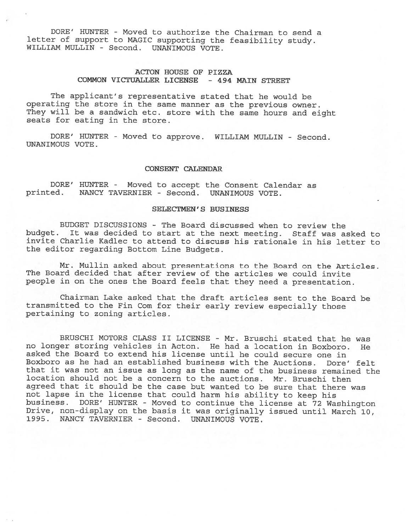DORE' HUNTER - Moved to authorize the Chairman to send <sup>a</sup> letter of support to MAGIC supporting the feasibility study. WILLIAM MULLIN - Second. UNANIMOUS VOTE.

# ACTON HOUSE OF PIZZA COMMON VICTUALLER LICENSE - 494 MAIN STREET

The applicant's representative stated that he would be operating the store in the same manner as the previous owner. They will be <sup>a</sup> sandwich etc. store with the same hours and eight seats for eating in the store.

DORE' HUNTER - Moved to approve. WILLIAM MULLIN - Second. UNANIMOUS VOTE.

#### CONSENT CALENDAR

DORE' HUNTER - Moved to accept the Consent Calendar as printed. NANCY TAVERNIER - Second. UNANIMOUS VOTE. NANCY TAVERNIER - Second. UNANIMOUS VOTE.

# SELECTMEN'S BUSINESS

BUDGET DISCUSSIONS - The Board discussed when to review the budget. It was decided to start at the next meeting. Staff was asked to invite Charlie Kadlec to attend to discuss his rationale in his letter to the editor regarding Bottom Line Budgets.

Mr. Mullin asked about presentations to the Board on the Articles. The Board decided that after review of the articles we could invite people in on the ones the Board feels that they need <sup>a</sup> presentation.

Chairman Lake asked that the draft articles sent to the Board be transmitted to the Fin Com for their early review especially those pertaining to zoning articles.

BRUSCHI MOTORS CLASS II LICENSE - Mr. Bruschi stated that he was no longer storing vehicles in Acton. He had <sup>a</sup> location in Boxboro. He asked the Board to extend his license until he could secure one in Boxboro as he had an established business with the Auctions. Dore' felt that it was not an issue as long as the name of the business remained the location should not be <sup>a</sup> concern to the auctions. Mr. Bruschi then agreed that it should be the case but wanted to be sure that there was not lapse in the license that could harm his ability to keep his business. DORE' HUNTER - Moved to continue the license at <sup>72</sup> Washington Drive, non-display on the basis it was originally issued until March 10,<br>1995. NANCY TAVERNIER - Second. UNANIMOUS VOTE. NANCY TAVERNIER - Second. UNANIMOUS VOTE.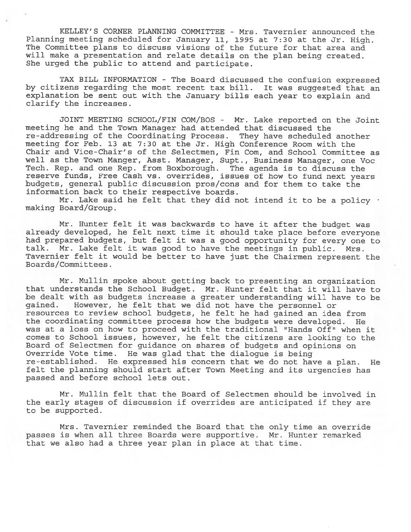KELLEY'S CORNER PLANNING COMMITTEE - Mrs. Tavernier announced the Planning meeting scheduled for January 11, <sup>1995</sup> at 7:30 at the Jr. High. The Committee plans to discuss visions of the future for that area and will make <sup>a</sup> presentation and relate details on the <sup>p</sup>lan being created. She urged the public to attend and participate.

TAX BILL INFORMATION - The Board discussed the confusion expressed by citizens regarding the most recent tax bill. It was suggested that an explanation be sent out with the January bills each year to explain and clarify the increases.

JOINT MEETING SCHOOL/FIN COM/BOS - Mr. Lake reported on the Joint meeting he and the Town Manager had attended that discussed the re-addressing of the Coordinating Process. They have scheduled another meeting for Feb. 13 at 7:30 at the Jr. High Conference Room with the Chair and Vice-Chair's of the Selectmen, Fin Com, and School Committee as well as the Town Manger, Asst. Manager, Supt., Business Manager, one Voc Tech. Rep. and one Rep. from Boxborough. The agenda is to discuss the reserve funds, Free Cash vs. overrides, issues of how to fund next years budgets, general public discussion pros/cons and for them to take the information back to their respective boards.

Mr. Lake said he felt that they did not intend it to be a policy  $\cdot$ making Board/Group.

Mr. Hunter felt it was backwards to have it after the budget was already developed, he felt next time it should take <sup>p</sup>lace before everyone had prepared budgets, but felt it was <sup>a</sup> good opportunity for every one to talk. Mr. Lake felt it was good to have the meetings in public. Mrs. Tavernier felt it would be better to have just the Chairmen represen<sup>t</sup> the Boards/Committees.

Mr. Mullin spoke about getting back to presenting an organization that understands the School Budget. Mr. Hunter felt that it will have to be dealt with as budgets increase <sup>a</sup> greater understanding will have to be gained. However, he felt that we did not have the personne<sup>l</sup> or resources to review school budgets, he felt he had gained an idea from the coordinating committee process how the budgets were developed. He was at a loss on how to proceed with the traditional "Hands Off" when it comes to School issues, however, he felt the citizens are looking to the Board of Selectmen for guidance on shares of budgets and opinions on Override Vote time. He was <sup>g</sup>lad that the dialogue is being re-established. He expressed his concern that we do not have <sup>a</sup> plan. He felt the planning should start after Town Meeting and its urgencies has passed and before school lets out.

Mr. Mullin felt that the Board of Selectmen should be involved in the early stages of discussion if overrides are anticipated if they are to be supported.

Mrs. Tavernier reminded the Board that the only time an override passes is when all three Boards were supportive. Mr. Hunter remarked that we also had <sup>a</sup> three year plan in place at that time.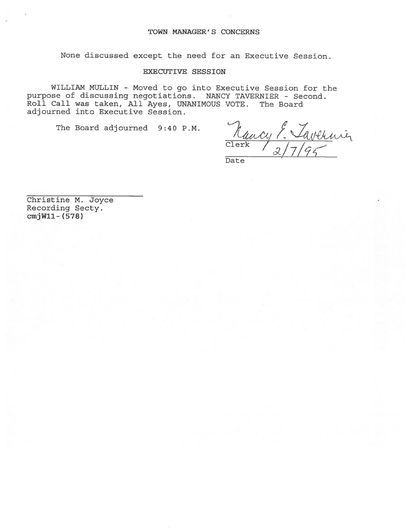None discussed excep<sup>t</sup> the need for an Executive Session.

# EXECUTIVE SESSION

WILLIAM MULLIN - Moved to go into Executive Session for the purpose of discussing negotiations. NANCY TAVERNIER - Second. Roll Call was taken, All Ayes, UNANIMOUS VOTE. The Board adjourned into Executive Session.

The Board adjourned 9:40 P.M.

Rancy 7. Vavennin

Date

Christine M. Joyce Recording Secty. cmjWll- (578)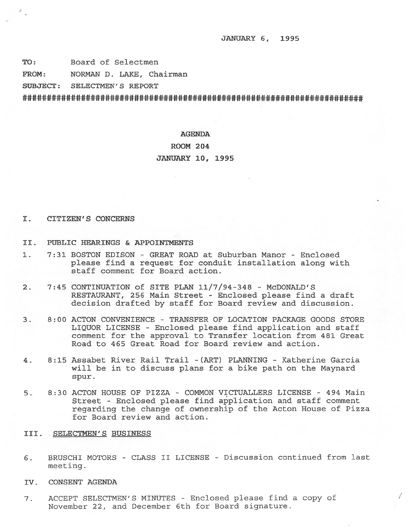JANUARY 6, 1995

TO: Board of Selectmen

FROM: NORMAN D. LAKE, Chairman

SUBJECT: SELECTMEN'S REPORT

### AGENDA

#### ROOM 204

#### JANUARY 10, 1995

### I. CITIZEN'S CONCERNS

- II. PUBLIC HEARINGS & APPOINTMENTS
- 1. 7:31 BOSTON EDISON GREAT ROAD at Suburban Manor Enclosed please find <sup>a</sup> reques<sup>t</sup> for conduit installation along with staff comment for Board action.
- 2. 7:45 CONTINUATION of SITE PLAN 11/7/94-348 McDONALD'S RESTAURANT, 256 Main Street - Enclosed please find <sup>a</sup> draft decision drafted by staff for Board review and discussion.
- 3. 8:00 ACTON CONVENIENCE TRANSFER OF LOCATION PACKAGE GOODS STORE LIQUOR LICENSE - Enclosed please find application and staff comment for the approval to Transfer location from 481 Great Road to 465 Great Road for Board review and action.
- 4. 8:15 Assabet River Rail Trail -(ART) PLANNING Katherine Garcia will be in to discuss plans for <sup>a</sup> bike path on the Maynard spur.
- 5. 8:30 ACTON HOUSE OF PIZZA COMMON VICTUALLERS LICENSE 494 Main Street - Enclosed please find application and staff comment regarding the change of ownership of the Acton House of Pizza for Board review and action.

# III. SELECTMEN'S BUSINESS

- 6. BRUSCHI MOTORS CLASS II LICENSE Discussion continued from last meeting.
- IV. CONSENT AGENDA
- 7. ACCEPT SELECTMEN'S MINUTES Enclosed please find <sup>a</sup> copy of November 22, and December 6th for Board signature.